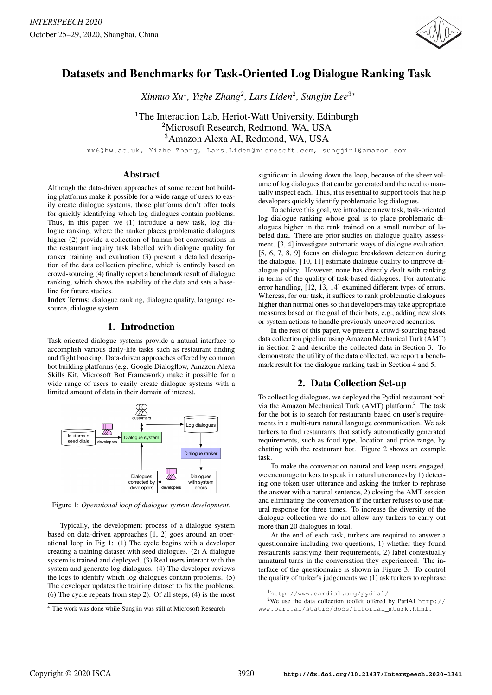

*Xinnuo Xu*<sup>1</sup> *, Yizhe Zhang*<sup>2</sup> *, Lars Liden*<sup>2</sup> *, Sungjin Lee*<sup>3</sup><sup>∗</sup>

<sup>1</sup>The Interaction Lab, Heriot-Watt University, Edinburgh <sup>2</sup>Microsoft Research, Redmond, WA, USA <sup>3</sup>Amazon Alexa AI, Redmond, WA, USA

xx6@hw.ac.uk, Yizhe.Zhang, Lars.Liden@microsoft.com, sungjinl@amazon.com

### Abstract

Although the data-driven approaches of some recent bot building platforms make it possible for a wide range of users to easily create dialogue systems, those platforms don't offer tools for quickly identifying which log dialogues contain problems. Thus, in this paper, we (1) introduce a new task, log dialogue ranking, where the ranker places problematic dialogues higher (2) provide a collection of human-bot conversations in the restaurant inquiry task labelled with dialogue quality for ranker training and evaluation (3) present a detailed description of the data collection pipeline, which is entirely based on crowd-sourcing (4) finally report a benchmark result of dialogue ranking, which shows the usability of the data and sets a baseline for future studies.

Index Terms: dialogue ranking, dialogue quality, language resource, dialogue system

## 1. Introduction

Task-oriented dialogue systems provide a natural interface to accomplish various daily-life tasks such as restaurant finding and flight booking. Data-driven approaches offered by common bot building platforms (e.g. Google Dialogflow, Amazon Alexa Skills Kit, Microsoft Bot Framework) make it possible for a wide range of users to easily create dialogue systems with a limited amount of data in their domain of interest.



Figure 1: *Operational loop of dialogue system development.*

Typically, the development process of a dialogue system based on data-driven approaches [1, 2] goes around an operational loop in Fig 1: (1) The cycle begins with a developer creating a training dataset with seed dialogues. (2) A dialogue system is trained and deployed. (3) Real users interact with the system and generate log dialogues. (4) The developer reviews the logs to identify which log dialogues contain problems. (5) The developer updates the training dataset to fix the problems. (6) The cycle repeats from step 2). Of all steps, (4) is the most

significant in slowing down the loop, because of the sheer volume of log dialogues that can be generated and the need to manually inspect each. Thus, it is essential to support tools that help developers quickly identify problematic log dialogues.

To achieve this goal, we introduce a new task, task-oriented log dialogue ranking whose goal is to place problematic dialogues higher in the rank trained on a small number of labeled data. There are prior studies on dialogue quality assessment. [3, 4] investigate automatic ways of dialogue evaluation. [5, 6, 7, 8, 9] focus on dialogue breakdown detection during the dialogue. [10, 11] estimate dialogue quality to improve dialogue policy. However, none has directly dealt with ranking in terms of the quality of task-based dialogues. For automatic error handling, [12, 13, 14] examined different types of errors. Whereas, for our task, it suffices to rank problematic dialogues higher than normal ones so that developers may take appropriate measures based on the goal of their bots, e.g., adding new slots or system actions to handle previously uncovered scenarios.

In the rest of this paper, we present a crowd-sourcing based data collection pipeline using Amazon Mechanical Turk (AMT) in Section 2 and describe the collected data in Section 3. To demonstrate the utility of the data collected, we report a benchmark result for the dialogue ranking task in Section 4 and 5.

# 2. Data Collection Set-up

To collect log dialogues, we deployed the Pydial restaurant bot<sup>1</sup> via the Amazon Mechanical Turk (AMT) platform. $<sup>2</sup>$  The task</sup> for the bot is to search for restaurants based on user's requirements in a multi-turn natural language communication. We ask turkers to find restaurants that satisfy automatically generated requirements, such as food type, location and price range, by chatting with the restaurant bot. Figure 2 shows an example task.

To make the conversation natural and keep users engaged, we encourage turkers to speak in natural utterances by 1) detecting one token user utterance and asking the turker to rephrase the answer with a natural sentence, 2) closing the AMT session and eliminating the conversation if the turker refuses to use natural response for three times. To increase the diversity of the dialogue collection we do not allow any turkers to carry out more than 20 dialogues in total.

At the end of each task, turkers are required to answer a questionnaire including two questions, 1) whether they found restaurants satisfying their requirements, 2) label contextually unnatural turns in the conversation they experienced. The interface of the questionnaire is shown in Figure 3. To control the quality of turker's judgements we (1) ask turkers to rephrase

<sup>∗</sup> The work was done while Sungjin was still at Microsoft Research

<sup>1</sup>http://www.camdial.org/pydial/

<sup>&</sup>lt;sup>2</sup>We use the data collection toolkit offered by ParlAI http:// www.parl.ai/static/docs/tutorial\_mturk.html.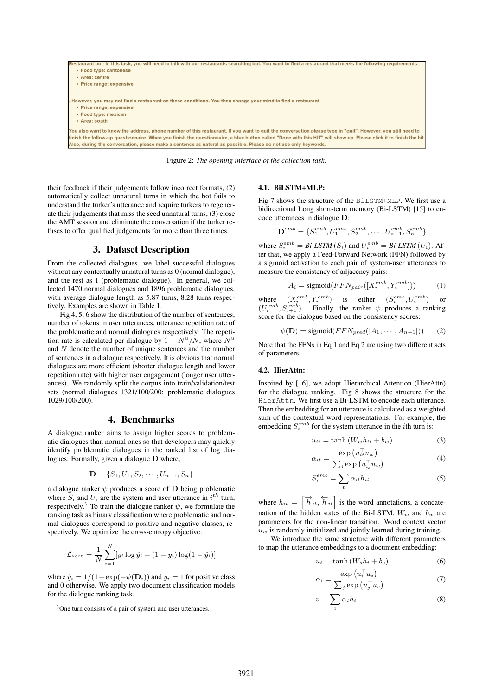

Figure 2: *The opening interface of the collection task.*

their feedback if their judgements follow incorrect formats, (2) automatically collect unnatural turns in which the bot fails to understand the turker's utterance and require turkers to regenerate their judgements that miss the seed unnatural turns, (3) close the AMT session and eliminate the conversation if the turker refuses to offer qualified judgements for more than three times.

### 3. Dataset Description

From the collected dialogues, we label successful dialogues without any contextually unnatural turns as 0 (normal dialogue), and the rest as 1 (problematic dialogue). In general, we collected 1470 normal dialogues and 1896 problematic dialogues, with average dialogue length as 5.87 turns, 8.28 turns respectively. Examples are shown in Table 1.

Fig 4, 5, 6 show the distribution of the number of sentences, number of tokens in user utterances, utterance repetition rate of the problematic and normal dialogues respectively. The repetition rate is calculated per dialogue by  $1 - N^u/N$ , where  $N^u$ and N denote the number of unique sentences and the number of sentences in a dialogue respectively. It is obvious that normal dialogues are more efficient (shorter dialogue length and lower repetition rate) with higher user engagement (longer user utterances). We randomly split the corpus into train/validation/test sets (normal dialogues 1321/100/200; problematic dialogues 1029/100/200).

# 4. Benchmarks

A dialogue ranker aims to assign higher scores to problematic dialogues than normal ones so that developers may quickly identify problematic dialogues in the ranked list of log dialogues. Formally, given a dialogue D where,

$$
\mathbf{D} = \{S_1, U_1, S_2, \cdots, U_{n-1}, S_n\}
$$

a dialogue ranker  $\psi$  produces a score of **D** being problematic where  $S_i$  and  $U_i$  are the system and user utterance in  $i^{th}$  turn, respectively.<sup>3</sup> To train the dialogue ranker  $\psi$ , we formulate the ranking task as binary classification where problematic and normal dialogues correspond to positive and negative classes, respectively. We optimize the cross-entropy objective:

$$
\mathcal{L}_{\text{xent}} = \frac{1}{N} \sum_{i=1}^{N} [y_i \log \hat{y}_i + (1 - y_i) \log(1 - \hat{y}_i)]
$$

where  $\hat{y}_i = 1/(1+\exp(-\psi(\mathbf{D}_i))$  and  $y_i = 1$  for positive class and 0 otherwise. We apply two document classification models for the dialogue ranking task.

#### 4.1. BiLSTM+MLP:

Fig 7 shows the structure of the BiLSTM+MLP. We first use a bidirectional Long short-term memory (Bi-LSTM) [15] to encode utterances in dialogue D:

$$
\textbf{D}^{emb} = \{S^{emb}_1, U^{emb}_1, S^{emb}_2, \cdots, U^{emb}_{n-1}, S^{emb}_n\}
$$

where  $S_i^{emb} = Bi$ -LSTM $(S_i)$  and  $U_i^{emb} = Bi$ -LSTM $(U_i)$ . After that, we apply a Feed-Forward Network (FFN) followed by a sigmoid activation to each pair of system-user utterances to measure the consistency of adjacency pairs:

$$
A_i = \text{sigmoid}(FFN_{pair}([X_i^{emb}, Y_i^{emb}])) \tag{1}
$$

where  $(X_i^{emb}, Y_i^{emb})$  is either  $(S_i^{emb}, U_i^{emb})$  or  $(U_i^{emb}, S_{i+1}^{emb})$ . Finally, the ranker  $\psi$  produces a ranking score for the dialogue based on the consistency scores:

 $\psi(\mathbf{D}) = \text{sigmoid}(FFN_{pred}([A_1, \cdots, A_{n-1}]))$  (2)

Note that the FFNs in Eq 1 and Eq 2 are using two different sets of parameters.

#### 4.2. HierAttn:

Inspired by [16], we adopt Hierarchical Attention (HierAttn) for the dialogue ranking. Fig 8 shows the structure for the HierAttn. We first use a Bi-LSTM to encode each utterance. Then the embedding for an utterance is calculated as a weighted sum of the contextual word representations. For example, the embedding  $S_i^{emb}$  for the system utterance in the *i*th turn is:

$$
u_{it} = \tanh\left(W_w h_{it} + b_w\right) \tag{3}
$$

$$
\alpha_{it} = \frac{\exp\left(u_{it}^{\top} u_w\right)}{\sum_j \exp\left(u_{ij}^{\top} u_w\right)}\tag{4}
$$

$$
S_i^{emb} = \sum_t \alpha_{it} h_{it} \tag{5}
$$

where  $h_{it} = \left[\overrightarrow{h}_{it}, \overleftarrow{h}_{it}\right]$  is the word annotations, a concatenation of the hidden states of the Bi-LSTM.  $W_w$  and  $b_w$  are parameters for the non-linear transition. Word context vector  $u_w$  is randomly initialized and jointly learned during training.

We introduce the same structure with different parameters to map the utterance embeddings to a document embedding:

$$
u_i = \tanh\left(W_s h_i + b_s\right) \tag{6}
$$

$$
\alpha_i = \frac{\exp\left(u_i^\top u_s\right)}{\sum_j \exp\left(u_j^\top u_s\right)}\tag{7}
$$

$$
v = \sum_{i} \alpha_i h_i \tag{8}
$$

<sup>3</sup>One turn consists of a pair of system and user utterances.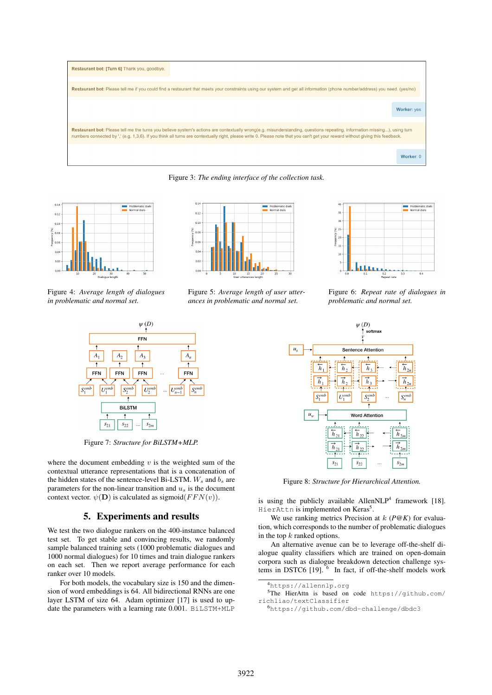

Figure 3: *The ending interface of the collection task.*



Figure 4: *Average length of dialogues in problematic and normal set.*



Figure 5: *Average length of user utterances in problematic and normal set.*



Figure 6: *Repeat rate of dialogues in problematic and normal set.*



Figure 8: *Structure for Hierarchical Attention.*

is using the publicly available Allen $NLP<sup>4</sup>$  framework [18]. HierAttn is implemented on Keras<sup>5</sup>.

We use ranking metrics Precision at k (*P@K*) for evaluation, which corresponds to the number of problematic dialogues in the top  $k$  ranked options.

An alternative avenue can be to leverage off-the-shelf dialogue quality classifiers which are trained on open-domain corpora such as dialogue breakdown detection challenge systems in DSTC6  $[19]$ . <sup>6</sup> In fact, if off-the-shelf models work



Figure 7: *Structure for BiLSTM+MLP.*

where the document embedding  $v$  is the weighted sum of the contextual utterance representations that is a concatenation of the hidden states of the sentence-level Bi-LSTM.  $W_s$  and  $b_s$  are parameters for the non-linear transition and  $u_s$  is the document context vector.  $\psi(\mathbf{D})$  is calculated as sigmoid( $FFN(v)$ ).

### 5. Experiments and results

We test the two dialogue rankers on the 400-instance balanced test set. To get stable and convincing results, we randomly sample balanced training sets (1000 problematic dialogues and 1000 normal dialogues) for 10 times and train dialogue rankers on each set. Then we report average performance for each ranker over 10 models.

For both models, the vocabulary size is 150 and the dimension of word embeddings is 64. All bidirectional RNNs are one layer LSTM of size 64. Adam optimizer [17] is used to update the parameters with a learning rate 0.001. BiLSTM+MLP

<sup>4</sup>https://allennlp.org

<sup>5</sup>The HierAttn is based on code https://github.com/ richliao/textClassifier

<sup>6</sup>https://github.com/dbd-challenge/dbdc3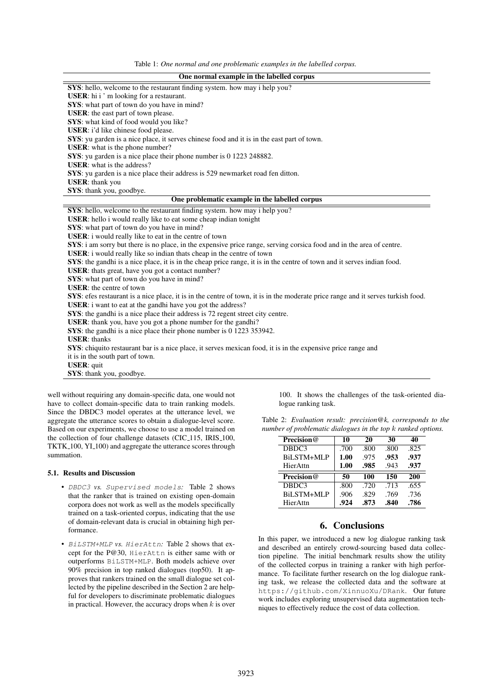Table 1: *One normal and one problematic examples in the labelled corpus.*

| One normal example in the labelled corpus                                                                                        |
|----------------------------------------------------------------------------------------------------------------------------------|
| SYS: hello, welcome to the restaurant finding system. how may i help you?                                                        |
| <b>USER</b> : hi i ' m looking for a restaurant.                                                                                 |
| SYS: what part of town do you have in mind?                                                                                      |
| USER: the east part of town please.                                                                                              |
| SYS: what kind of food would you like?                                                                                           |
| USER: i'd like chinese food please.                                                                                              |
| SYS: yu garden is a nice place, it serves chinese food and it is in the east part of town.                                       |
| <b>USER:</b> what is the phone number?                                                                                           |
| SYS: yu garden is a nice place their phone number is 0 1223 248882.                                                              |
| <b>USER:</b> what is the address?                                                                                                |
| SYS: yu garden is a nice place their address is 529 newmarket road fen ditton.                                                   |
| <b>USER:</b> thank you                                                                                                           |
| SYS: thank you, goodbye.                                                                                                         |
| One problematic example in the labelled corpus                                                                                   |
| SYS: hello, welcome to the restaurant finding system. how may i help you?                                                        |
| USER: hello i would really like to eat some cheap indian tonight                                                                 |
| SYS: what part of town do you have in mind?                                                                                      |
| USER: i would really like to eat in the centre of town                                                                           |
| SYS: i am sorry but there is no place, in the expensive price range, serving corsica food and in the area of centre.             |
| USER: i would really like so indian thats cheap in the centre of town                                                            |
| SYS: the gandhi is a nice place, it is in the cheap price range, it is in the centre of town and it serves indian food.          |
| USER: thats great, have you got a contact number?                                                                                |
| SYS: what part of town do you have in mind?                                                                                      |
| <b>USER</b> : the centre of town                                                                                                 |
| SYS: efes restaurant is a nice place, it is in the centre of town, it is in the moderate price range and it serves turkish food. |
| <b>USER</b> : i want to eat at the gandhi have you got the address?                                                              |
| SYS: the gandhi is a nice place their address is 72 regent street city centre.                                                   |
| <b>USER</b> : thank you, have you got a phone number for the gandhi?                                                             |
| SYS: the gandhi is a nice place their phone number is 0 1223 353942.                                                             |
| <b>USER</b> : thanks                                                                                                             |
| SYS: chiquito restaurant bar is a nice place, it serves mexican food, it is in the expensive price range and                     |
| it is in the south part of town.                                                                                                 |
| <b>USER:</b> quit                                                                                                                |
| SYS: thank you, goodbye.                                                                                                         |

well without requiring any domain-specific data, one would not have to collect domain-specific data to train ranking models. Since the DBDC3 model operates at the utterance level, we aggregate the utterance scores to obtain a dialogue-level score. Based on our experiments, we choose to use a model trained on the collection of four challenge datasets (CIC<sub>115</sub>, IRIS<sub>100</sub>, TKTK<sub>-100</sub>, Y<sub>1-100</sub>) and aggregate the utterance scores through summation.

### 5.1. Results and Discussion

- DBDC3 *vs.* Supervised models*:* Table 2 shows that the ranker that is trained on existing open-domain corpora does not work as well as the models specifically trained on a task-oriented corpus, indicating that the use of domain-relevant data is crucial in obtaining high performance.
- BiLSTM+MLP vs. HierAttn: Table 2 shows that except for the P@30, HierAttn is either same with or outperforms BiLSTM+MLP. Both models achieve over 90% precision in top ranked dialogues (top50). It approves that rankers trained on the small dialogue set collected by the pipeline described in the Section 2 are helpful for developers to discriminate problematic dialogues in practical. However, the accuracy drops when  $k$  is over

100. It shows the challenges of the task-oriented dialogue ranking task.

|  | Table 2: Evaluation result: precision $@k$ , corresponds to the |  |
|--|-----------------------------------------------------------------|--|
|  | number of problematic dialogues in the top k ranked options.    |  |

| Precision@ | 10   | 20   | 30   | 40   |
|------------|------|------|------|------|
| DBDC3      | .700 | .800 | .800 | .825 |
| BiLSTM+MLP | 1.00 | .975 | .953 | .937 |
| HierAttn   | 1.00 | .985 | .943 | .937 |
|            |      |      |      |      |
| Precision@ | 50   | 100  | 150  | 200  |
| DBDC3      | .800 | .720 | .713 | .655 |
| BiLSTM+MLP | .906 | .829 | .769 | .736 |

# 6. Conclusions

In this paper, we introduced a new log dialogue ranking task and described an entirely crowd-sourcing based data collection pipeline. The initial benchmark results show the utility of the collected corpus in training a ranker with high performance. To facilitate further research on the log dialogue ranking task, we release the collected data and the software at https://github.com/XinnuoXu/DRank. Our future work includes exploring unsupervised data augmentation techniques to effectively reduce the cost of data collection.